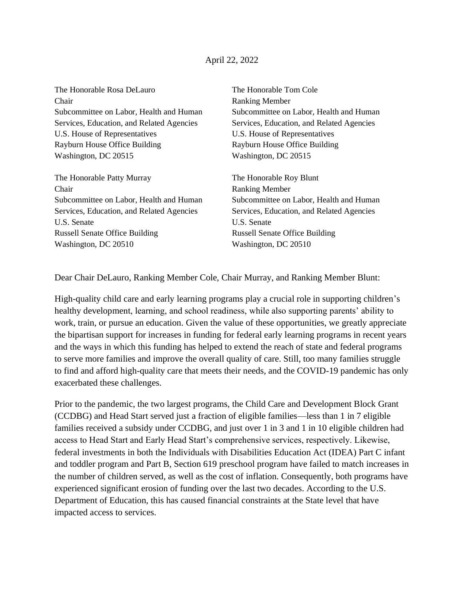## April 22, 2022

The Honorable Rosa DeLauro The Honorable Tom Cole Chair Ranking Member Services, Education, and Related Agencies Services, Education, and Related Agencies U.S. House of Representatives U.S. House of Representatives Rayburn House Office Building **Rayburn House Office Building** Washington, DC 20515 Washington, DC 20515

The Honorable Patty Murray The Honorable Roy Blunt Chair Ranking Member Services, Education, and Related Agencies Services, Education, and Related Agencies U.S. Senate U.S. Senate Russell Senate Office Building Russell Senate Office Building Washington, DC 20510 Washington, DC 20510

Subcommittee on Labor, Health and Human Subcommittee on Labor, Health and Human

Subcommittee on Labor, Health and Human Subcommittee on Labor, Health and Human

Dear Chair DeLauro, Ranking Member Cole, Chair Murray, and Ranking Member Blunt:

High-quality child care and early learning programs play a crucial role in supporting children's healthy development, learning, and school readiness, while also supporting parents' ability to work, train, or pursue an education. Given the value of these opportunities, we greatly appreciate the bipartisan support for increases in funding for federal early learning programs in recent years and the ways in which this funding has helped to extend the reach of state and federal programs to serve more families and improve the overall quality of care. Still, too many families struggle to find and afford high-quality care that meets their needs, and the COVID-19 pandemic has only exacerbated these challenges.

Prior to the pandemic, the two largest programs, the Child Care and Development Block Grant (CCDBG) and Head Start served just a fraction of eligible families—less than 1 in 7 eligible families received a subsidy under CCDBG, and just over 1 in 3 and 1 in 10 eligible children had access to Head Start and Early Head Start's comprehensive services, respectively. Likewise, federal investments in both the Individuals with Disabilities Education Act (IDEA) Part C infant and toddler program and Part B, Section 619 preschool program have failed to match increases in the number of children served, as well as the cost of inflation. Consequently, both programs have experienced significant erosion of funding over the last two decades. According to the U.S. Department of Education, this has caused financial constraints at the State level that have impacted access to services.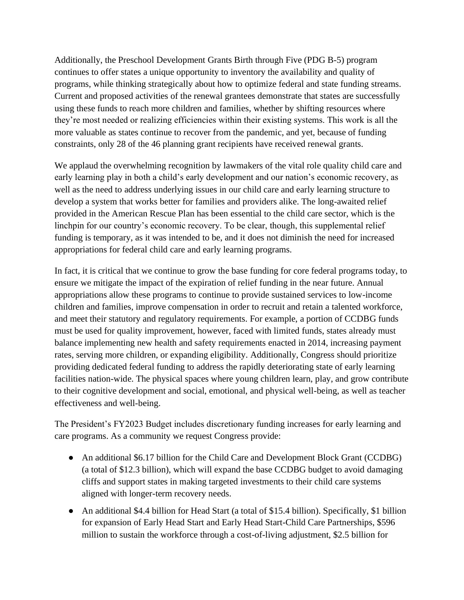Additionally, the Preschool Development Grants Birth through Five (PDG B-5) program continues to offer states a unique opportunity to inventory the availability and quality of programs, while thinking strategically about how to optimize federal and state funding streams. Current and proposed activities of the renewal grantees demonstrate that states are successfully using these funds to reach more children and families, whether by shifting resources where they're most needed or realizing efficiencies within their existing systems. This work is all the more valuable as states continue to recover from the pandemic, and yet, because of funding constraints, only 28 of the 46 planning grant recipients have received renewal grants.

We applaud the overwhelming recognition by lawmakers of the vital role quality child care and early learning play in both a child's early development and our nation's economic recovery, as well as the need to address underlying issues in our child care and early learning structure to develop a system that works better for families and providers alike. The long-awaited relief provided in the American Rescue Plan has been essential to the child care sector, which is the linchpin for our country's economic recovery. To be clear, though, this supplemental relief funding is temporary, as it was intended to be, and it does not diminish the need for increased appropriations for federal child care and early learning programs.

In fact, it is critical that we continue to grow the base funding for core federal programs today, to ensure we mitigate the impact of the expiration of relief funding in the near future. Annual appropriations allow these programs to continue to provide sustained services to low-income children and families, improve compensation in order to recruit and retain a talented workforce, and meet their statutory and regulatory requirements. For example, a portion of CCDBG funds must be used for quality improvement, however, faced with limited funds, states already must balance implementing new health and safety requirements enacted in 2014, increasing payment rates, serving more children, or expanding eligibility. Additionally, Congress should prioritize providing dedicated federal funding to address the rapidly deteriorating state of early learning facilities nation-wide. The physical spaces where young children learn, play, and grow contribute to their cognitive development and social, emotional, and physical well-being, as well as teacher effectiveness and well-being.

The President's FY2023 Budget includes discretionary funding increases for early learning and care programs. As a community we request Congress provide:

- An additional \$6.17 billion for the Child Care and Development Block Grant (CCDBG) (a total of \$12.3 billion), which will expand the base CCDBG budget to avoid damaging cliffs and support states in making targeted investments to their child care systems aligned with longer-term recovery needs.
- An additional \$4.4 billion for Head Start (a total of \$15.4 billion). Specifically, \$1 billion for expansion of Early Head Start and Early Head Start-Child Care Partnerships, \$596 million to sustain the workforce through a cost-of-living adjustment, \$2.5 billion for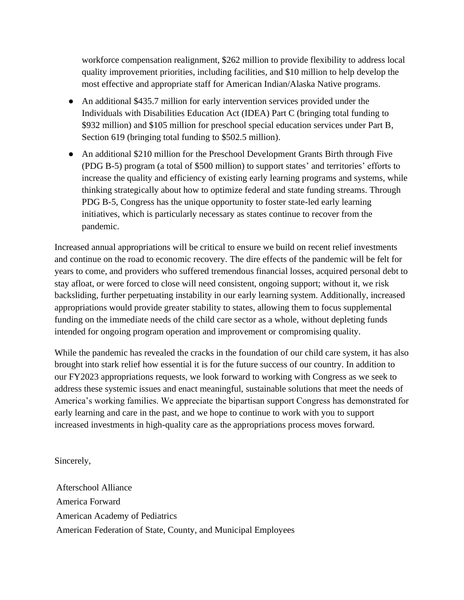workforce compensation realignment, \$262 million to provide flexibility to address local quality improvement priorities, including facilities, and \$10 million to help develop the most effective and appropriate staff for American Indian/Alaska Native programs.

- An additional \$435.7 million for early intervention services provided under the Individuals with Disabilities Education Act (IDEA) Part C (bringing total funding to \$932 million) and \$105 million for preschool special education services under Part B, Section 619 (bringing total funding to \$502.5 million).
- An additional \$210 million for the Preschool Development Grants Birth through Five (PDG B-5) program (a total of \$500 million) to support states' and territories' efforts to increase the quality and efficiency of existing early learning programs and systems, while thinking strategically about how to optimize federal and state funding streams. Through PDG B-5, Congress has the unique opportunity to foster state-led early learning initiatives, which is particularly necessary as states continue to recover from the pandemic.

Increased annual appropriations will be critical to ensure we build on recent relief investments and continue on the road to economic recovery. The dire effects of the pandemic will be felt for years to come, and providers who suffered tremendous financial losses, acquired personal debt to stay afloat, or were forced to close will need consistent, ongoing support; without it, we risk backsliding, further perpetuating instability in our early learning system. Additionally, increased appropriations would provide greater stability to states, allowing them to focus supplemental funding on the immediate needs of the child care sector as a whole, without depleting funds intended for ongoing program operation and improvement or compromising quality.

While the pandemic has revealed the cracks in the foundation of our child care system, it has also brought into stark relief how essential it is for the future success of our country. In addition to our FY2023 appropriations requests, we look forward to working with Congress as we seek to address these systemic issues and enact meaningful, sustainable solutions that meet the needs of America's working families. We appreciate the bipartisan support Congress has demonstrated for early learning and care in the past, and we hope to continue to work with you to support increased investments in high-quality care as the appropriations process moves forward.

Sincerely,

Afterschool Alliance America Forward American Academy of Pediatrics American Federation of State, County, and Municipal Employees